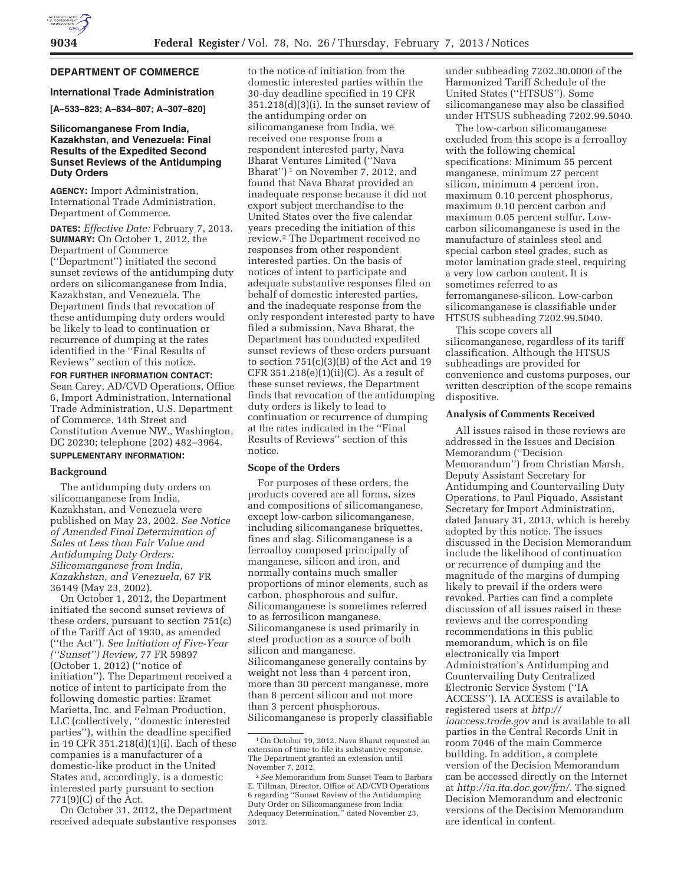## **DEPARTMENT OF COMMERCE**

### **International Trade Administration**

**[A–533–823; A–834–807; A–307–820]** 

## **Silicomanganese From India, Kazakhstan, and Venezuela: Final Results of the Expedited Second Sunset Reviews of the Antidumping Duty Orders**

**AGENCY:** Import Administration, International Trade Administration, Department of Commerce.

**DATES:** *Effective Date:* February 7, 2013. **SUMMARY:** On October 1, 2012, the Department of Commerce (''Department'') initiated the second sunset reviews of the antidumping duty orders on silicomanganese from India, Kazakhstan, and Venezuela. The Department finds that revocation of these antidumping duty orders would be likely to lead to continuation or recurrence of dumping at the rates identified in the ''Final Results of Reviews'' section of this notice.

**FOR FURTHER INFORMATION CONTACT:**  Sean Carey, AD/CVD Operations, Office 6, Import Administration, International Trade Administration, U.S. Department of Commerce, 14th Street and Constitution Avenue NW., Washington, DC 20230; telephone (202) 482–3964.

# **SUPPLEMENTARY INFORMATION:**

#### **Background**

The antidumping duty orders on silicomanganese from India, Kazakhstan, and Venezuela were published on May 23, 2002. *See Notice of Amended Final Determination of Sales at Less than Fair Value and Antidumping Duty Orders: Silicomanganese from India, Kazakhstan, and Venezuela,* 67 FR 36149 (May 23, 2002).

On October 1, 2012, the Department initiated the second sunset reviews of these orders, pursuant to section 751(c) of the Tariff Act of 1930, as amended (''the Act''). *See Initiation of Five-Year (''Sunset'') Review,* 77 FR 59897 (October 1, 2012) (''notice of initiation''). The Department received a notice of intent to participate from the following domestic parties: Eramet Marietta, Inc. and Felman Production, LLC (collectively, ''domestic interested parties''), within the deadline specified in 19 CFR 351.218(d)(1)(i). Each of these companies is a manufacturer of a domestic-like product in the United States and, accordingly, is a domestic interested party pursuant to section 771(9)(C) of the Act.

On October 31, 2012, the Department received adequate substantive responses

to the notice of initiation from the domestic interested parties within the 30-day deadline specified in 19 CFR  $351.218(d)(3)(i)$ . In the sunset review of the antidumping order on silicomanganese from India, we received one response from a respondent interested party, Nava Bharat Ventures Limited (''Nava Bharat")<sup>1</sup> on November 7, 2012, and found that Nava Bharat provided an inadequate response because it did not export subject merchandise to the United States over the five calendar years preceding the initiation of this review.2 The Department received no responses from other respondent interested parties. On the basis of notices of intent to participate and adequate substantive responses filed on behalf of domestic interested parties, and the inadequate response from the only respondent interested party to have filed a submission, Nava Bharat, the Department has conducted expedited sunset reviews of these orders pursuant to section 751(c)(3)(B) of the Act and 19 CFR  $351.218(e)(1)(ii)(C)$ . As a result of these sunset reviews, the Department finds that revocation of the antidumping duty orders is likely to lead to continuation or recurrence of dumping at the rates indicated in the ''Final Results of Reviews'' section of this notice.

#### **Scope of the Orders**

For purposes of these orders, the products covered are all forms, sizes and compositions of silicomanganese, except low-carbon silicomanganese, including silicomanganese briquettes, fines and slag. Silicomanganese is a ferroalloy composed principally of manganese, silicon and iron, and normally contains much smaller proportions of minor elements, such as carbon, phosphorous and sulfur. Silicomanganese is sometimes referred to as ferrosilicon manganese. Silicomanganese is used primarily in steel production as a source of both silicon and manganese. Silicomanganese generally contains by weight not less than 4 percent iron, more than 30 percent manganese, more than 8 percent silicon and not more than 3 percent phosphorous. Silicomanganese is properly classifiable under subheading 7202.30.0000 of the Harmonized Tariff Schedule of the United States (''HTSUS''). Some silicomanganese may also be classified under HTSUS subheading 7202.99.5040.

The low-carbon silicomanganese excluded from this scope is a ferroalloy with the following chemical specifications: Minimum 55 percent manganese, minimum 27 percent silicon, minimum 4 percent iron, maximum 0.10 percent phosphorus, maximum 0.10 percent carbon and maximum 0.05 percent sulfur. Lowcarbon silicomanganese is used in the manufacture of stainless steel and special carbon steel grades, such as motor lamination grade steel, requiring a very low carbon content. It is sometimes referred to as ferromanganese-silicon. Low-carbon silicomanganese is classifiable under HTSUS subheading 7202.99.5040.

This scope covers all silicomanganese, regardless of its tariff classification. Although the HTSUS subheadings are provided for convenience and customs purposes, our written description of the scope remains dispositive.

#### **Analysis of Comments Received**

All issues raised in these reviews are addressed in the Issues and Decision Memorandum (''Decision Memorandum'') from Christian Marsh, Deputy Assistant Secretary for Antidumping and Countervailing Duty Operations, to Paul Piquado, Assistant Secretary for Import Administration, dated January 31, 2013, which is hereby adopted by this notice. The issues discussed in the Decision Memorandum include the likelihood of continuation or recurrence of dumping and the magnitude of the margins of dumping likely to prevail if the orders were revoked. Parties can find a complete discussion of all issues raised in these reviews and the corresponding recommendations in this public memorandum, which is on file electronically via Import Administration's Antidumping and Countervailing Duty Centralized Electronic Service System (''IA ACCESS''). IA ACCESS is available to registered users at *http:// iaaccess.trade.gov* and is available to all parties in the Central Records Unit in room 7046 of the main Commerce building. In addition, a complete version of the Decision Memorandum can be accessed directly on the Internet at *http://ia.ita.doc.gov/frn/.* The signed Decision Memorandum and electronic versions of the Decision Memorandum are identical in content.

<sup>1</sup>On October 19, 2012, Nava Bharat requested an extension of time to file its substantive response. The Department granted an extension until November 7, 2012.

<sup>2</sup>*See* Memorandum from Sunset Team to Barbara E. Tillman, Director, Office of AD/CVD Operations 6 regarding ''Sunset Review of the Antidumping Duty Order on Silicomanganese from India: Adequacy Determination,'' dated November 23, 2012.